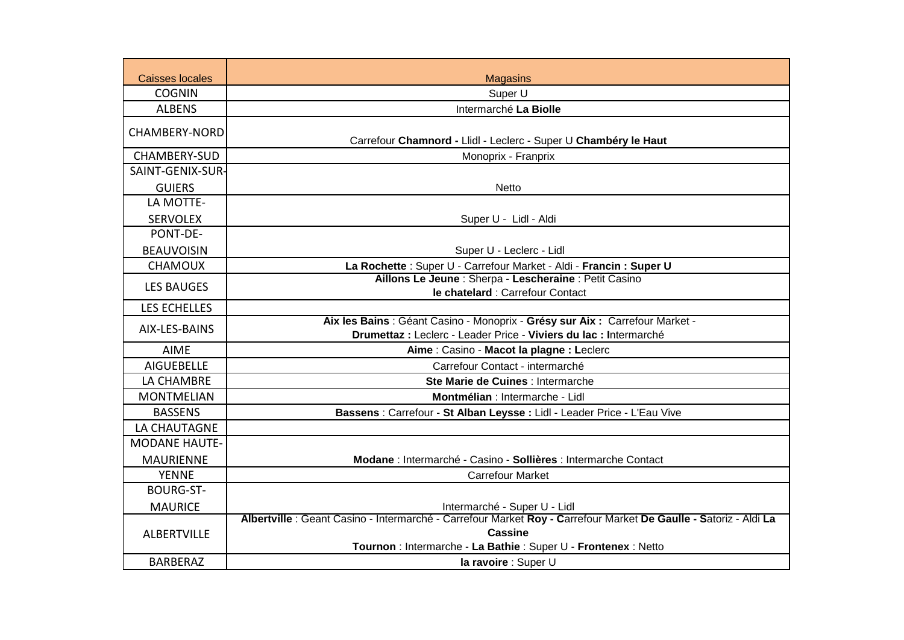| <b>Caisses locales</b> | <b>Magasins</b>                                                                                                                                                                                       |
|------------------------|-------------------------------------------------------------------------------------------------------------------------------------------------------------------------------------------------------|
| <b>COGNIN</b>          | Super U                                                                                                                                                                                               |
| <b>ALBENS</b>          | Intermarché La Biolle                                                                                                                                                                                 |
| <b>CHAMBERY-NORD</b>   | Carrefour Chamnord - Llidl - Leclerc - Super U Chambéry le Haut                                                                                                                                       |
| CHAMBERY-SUD           | Monoprix - Franprix                                                                                                                                                                                   |
| SAINT-GENIX-SUR-       |                                                                                                                                                                                                       |
| <b>GUIERS</b>          | <b>Netto</b>                                                                                                                                                                                          |
| LA MOTTE-              |                                                                                                                                                                                                       |
| <b>SERVOLEX</b>        | Super U - Lidl - Aldi                                                                                                                                                                                 |
| PONT-DE-               |                                                                                                                                                                                                       |
| <b>BEAUVOISIN</b>      | Super U - Leclerc - Lidl                                                                                                                                                                              |
| <b>CHAMOUX</b>         | La Rochette : Super U - Carrefour Market - Aldi - Francin : Super U                                                                                                                                   |
| <b>LES BAUGES</b>      | Aillons Le Jeune : Sherpa - Lescheraine : Petit Casino                                                                                                                                                |
|                        | le chatelard : Carrefour Contact                                                                                                                                                                      |
| <b>LES ECHELLES</b>    |                                                                                                                                                                                                       |
| AIX-LES-BAINS          | Aix les Bains : Géant Casino - Monoprix - Grésy sur Aix : Carrefour Market -<br>Drumettaz : Leclerc - Leader Price - Viviers du lac : Intermarché                                                     |
| <b>AIME</b>            | Aime: Casino - Macot la plagne: Leclerc                                                                                                                                                               |
| <b>AIGUEBELLE</b>      | Carrefour Contact - intermarché                                                                                                                                                                       |
| LA CHAMBRE             | Ste Marie de Cuines : Intermarche                                                                                                                                                                     |
| <b>MONTMELIAN</b>      | Montmélian : Intermarche - Lidl                                                                                                                                                                       |
| <b>BASSENS</b>         | Bassens : Carrefour - St Alban Leysse : Lidl - Leader Price - L'Eau Vive                                                                                                                              |
| LA CHAUTAGNE           |                                                                                                                                                                                                       |
| <b>MODANE HAUTE-</b>   |                                                                                                                                                                                                       |
| <b>MAURIENNE</b>       | Modane : Intermarché - Casino - Sollières : Intermarche Contact                                                                                                                                       |
| <b>YENNE</b>           | <b>Carrefour Market</b>                                                                                                                                                                               |
| <b>BOURG-ST-</b>       |                                                                                                                                                                                                       |
| <b>MAURICE</b>         | Intermarché - Super U - Lidl                                                                                                                                                                          |
| <b>ALBERTVILLE</b>     | Albertville : Geant Casino - Intermarché - Carrefour Market Roy - Carrefour Market De Gaulle - Satoriz - Aldi La<br><b>Cassine</b><br>Tournon : Intermarche - La Bathie : Super U - Frontenex : Netto |
| <b>BARBERAZ</b>        | la ravoire : Super U                                                                                                                                                                                  |